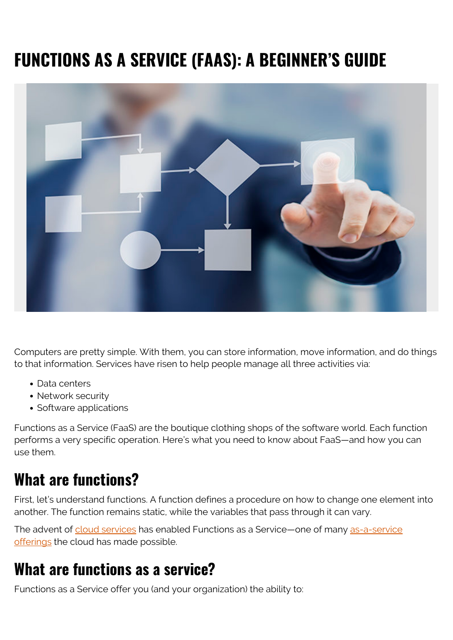# **FUNCTIONS AS A SERVICE (FAAS): A BEGINNER'S GUIDE**



Computers are pretty simple. With them, you can store information, move information, and do things to that information. Services have risen to help people manage all three activities via:

- Data centers
- Network security
- Software applications

Functions as a Service (FaaS) are the boutique clothing shops of the software world. Each function performs a very specific operation. Here's what you need to know about FaaS—and how you can use them.

### **What are functions?**

First, let's understand functions. A function defines a procedure on how to change one element into another. The function remains static, while the variables that pass through it can vary.

The advent of [cloud services](https://blogs.bmc.com/blogs/public-private-hybrid-cloud/) has enabled Functions as a Service—one of many [as-a-service](https://blogs.bmc.com/blogs/xaas-everything-as-a-service/) [offerings](https://blogs.bmc.com/blogs/xaas-everything-as-a-service/) the cloud has made possible.

#### **What are functions as a service?**

Functions as a Service offer you (and your organization) the ability to: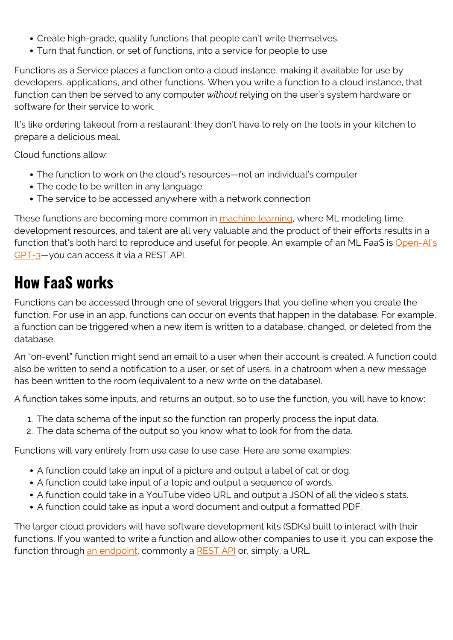- Create high-grade, quality functions that people can't write themselves.
- Turn that function, or set of functions, into a service for people to use.

Functions as a Service places a function onto a cloud instance, making it available for use by developers, applications, and other functions. When you write a function to a cloud instance, that function can then be served to any computer *without* relying on the user's system hardware or software for their service to work.

It's like ordering takeout from a restaurant: they don't have to rely on the tools in your kitchen to prepare a delicious meal.

Cloud functions allow:

- The function to work on the cloud's resources—not an individual's computer
- The code to be written in any language
- The service to be accessed anywhere with a network connection

These functions are becoming more common in [machine learning,](https://blogs.bmc.com/blogs/artificial-intelligence-vs-machine-learning/) where ML modeling time, development resources, and talent are all very valuable and the product of their efforts results in a function that's both hard to reproduce and useful for people. An example of an ML FaaS is [Open-AI's](https://blogs.bmc.com/blogs/gpt-3/) [GPT-3—](https://blogs.bmc.com/blogs/gpt-3/)you can access it via a REST API.

### **How FaaS works**

Functions can be accessed through one of several triggers that you define when you create the function. For use in an app, functions can occur on events that happen in the database. For example, a function can be triggered when a new item is written to a database, changed, or deleted from the database.

An "on-event" function might send an email to a user when their account is created. A function could also be written to send a notification to a user, or set of users, in a chatroom when a new message has been written to the room (equivalent to a new write on the database).

A function takes some inputs, and returns an output, so to use the function, you will have to know:

- 1. The data schema of the input so the function ran properly process the input data.
- 2. The data schema of the output so you know what to look for from the data.

Functions will vary entirely from use case to use case. Here are some examples:

- A function could take an input of a picture and output a label of cat or dog.
- A function could take input of a topic and output a sequence of words.
- A function could take in a YouTube video URL and output a JSON of all the video's stats.
- A function could take as input a word document and output a formatted PDF.

The larger cloud providers will have software development kits (SDKs) built to interact with their functions. If you wanted to write a function and allow other companies to use it, you can expose the function through [an endpoint](https://blogs.bmc.com/blogs/endpoints/), commonly a [REST API](https://blogs.bmc.com/blogs/rest-vs-crud-whats-the-difference/) or, simply, a URL.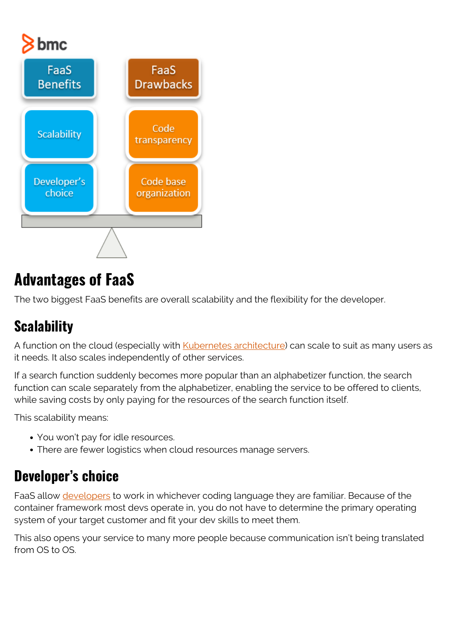# bmc



## **Advantages of FaaS**

The two biggest FaaS benefits are overall scalability and the flexibility for the developer.

#### **Scalability**

A function on the cloud (especially with [Kubernetes architecture\)](https://blogs.bmc.com/blogs/what-is-kubernetes/) can scale to suit as many users as it needs. It also scales independently of other services.

If a search function suddenly becomes more popular than an alphabetizer function, the search function can scale separately from the alphabetizer, enabling the service to be offered to clients, while saving costs by only paying for the resources of the search function itself.

This scalability means:

- You won't pay for idle resources.
- There are fewer logistics when cloud resources manage servers.

#### **Developer's choice**

FaaS allow [developers](https://blogs.bmc.com/blogs/application-developer-roles-responsibilities/) to work in whichever coding language they are familiar. Because of the container framework most devs operate in, you do not have to determine the primary operating system of your target customer and fit your dev skills to meet them.

This also opens your service to many more people because communication isn't being translated from OS to OS.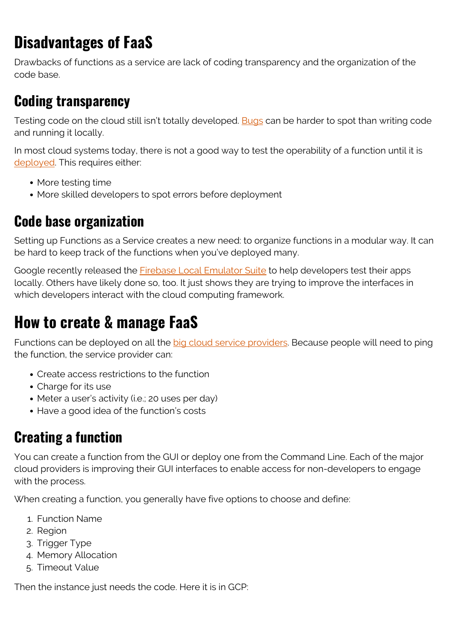# **Disadvantages of FaaS**

Drawbacks of functions as a service are lack of coding transparency and the organization of the code base.

### **Coding transparency**

Testing code on the cloud still isn't totally developed. [Bugs](https://www.bmc.com/blogs/patch-hotfix-coldfix-bugfix/) can be harder to spot than writing code and running it locally.

In most cloud systems today, there is not a good way to test the operability of a function until it is [deployed](https://blogs.bmc.com/blogs/software-deployment-vs-release/). This requires either:

- More testing time
- More skilled developers to spot errors before deployment

#### **Code base organization**

Setting up Functions as a Service creates a new need: to organize functions in a modular way. It can be hard to keep track of the functions when you've deployed many.

Google recently released the **Firebase Local Emulator Suite** to help developers test their apps locally. Others have likely done so, too. It just shows they are trying to improve the interfaces in which developers interact with the cloud computing framework.

### **How to create & manage FaaS**

Functions can be deployed on all the [big cloud service providers](https://blogs.bmc.com/blogs/cloud-availability-regions-zones/). Because people will need to ping the function, the service provider can:

- Create access restrictions to the function
- Charge for its use
- Meter a user's activity (i.e.; 20 uses per day)
- Have a good idea of the function's costs

#### **Creating a function**

You can create a function from the GUI or deploy one from the Command Line. Each of the major cloud providers is improving their GUI interfaces to enable access for non-developers to engage with the process.

When creating a function, you generally have five options to choose and define:

- 1. Function Name
- 2. Region
- 3. Trigger Type
- 4. Memory Allocation
- 5. Timeout Value

Then the instance just needs the code. Here it is in GCP: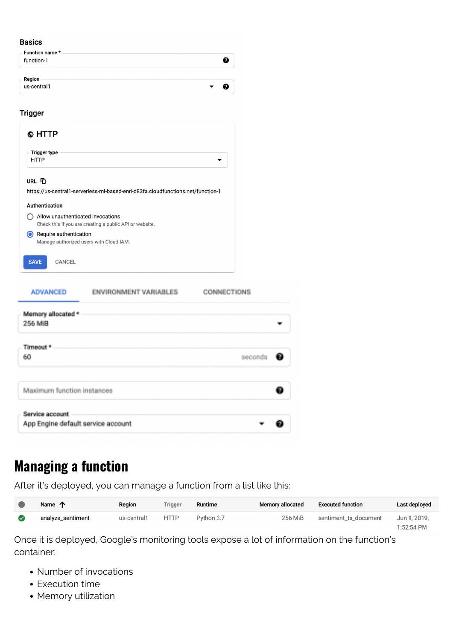#### **Basics**

| Function name *<br>function-1 |  |
|-------------------------------|--|
| Region<br>us-central1         |  |

#### **Trigger**

| © HTTP                                      |                                                                                  |                    |
|---------------------------------------------|----------------------------------------------------------------------------------|--------------------|
| <b>Trigger type</b><br><b>HTTP</b>          |                                                                                  |                    |
| URL T                                       |                                                                                  |                    |
|                                             | https://us-central1-serverless-ml-based-enri-d83fa.cloudfunctions.net/function-1 |                    |
| Authentication                              |                                                                                  |                    |
| $\bigcap$ Allow unauthenticated invocations | Check this if you are creating a public API or website.                          |                    |
| Require authentication                      | Manage authorized users with Cloud IAM.                                          |                    |
| <b>SAVE</b><br>CANCEL                       |                                                                                  |                    |
| <b>ADVANCED</b>                             | ENVIRONMENT VARIABLES                                                            | <b>CONNECTIONS</b> |
| Memory allocated *                          |                                                                                  |                    |
| 256 MiB                                     |                                                                                  |                    |
| Timeout *                                   |                                                                                  |                    |
| 60,                                         |                                                                                  | seconds            |
|                                             |                                                                                  |                    |
| Maximum function instances                  |                                                                                  |                    |
| Service account                             |                                                                                  |                    |
| App Engine default service account          |                                                                                  |                    |

#### **Managing a function**

After it's deployed, you can manage a function from a list like this:

| Name 个            | Region      | <b>Trigger</b> | Runtime    | <b>Memory allocated</b> | <b>Executed function</b> | Last deployed |
|-------------------|-------------|----------------|------------|-------------------------|--------------------------|---------------|
| analyze_sentiment | us-central1 | <b>HTTP</b>    | Python 3.7 | 256 MiB                 | sentiment_ts_document    | Jun 9, 2019.  |
|                   |             |                |            |                         |                          | 1:52:54 PM    |

Once it is deployed, Google's monitoring tools expose a lot of information on the function's container:

- Number of invocations
- Execution time
- Memory utilization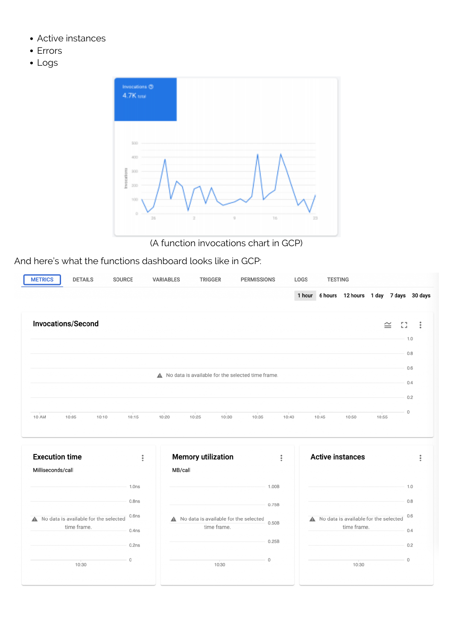- Active instances
- Errors
- Logs



(A function invocations chart in GCP)

And here's what the functions dashboard looks like in GCP:

| <b>DETAILS</b><br><b>METRICS</b><br>SOURCE           |                   | <b>VARIABLES</b> | <b>TRIGGER</b>                                       | <b>PERMISSIONS</b> |                    | LOGS | <b>TESTING</b> |                                                      |         |         |                |
|------------------------------------------------------|-------------------|------------------|------------------------------------------------------|--------------------|--------------------|------|----------------|------------------------------------------------------|---------|---------|----------------|
|                                                      |                   |                  |                                                      |                    |                    |      |                | 1 hour 6 hours 12 hours 1 day 7 days 30 days         |         |         |                |
| <b>Invocations/Second</b>                            |                   |                  |                                                      |                    |                    |      |                |                                                      | $\cong$ | 53      | $\ddot{\cdot}$ |
|                                                      |                   |                  |                                                      |                    |                    |      |                |                                                      |         | 1.0     |                |
|                                                      |                   |                  |                                                      |                    |                    |      |                |                                                      |         | 0.8     |                |
|                                                      |                   |                  |                                                      |                    |                    |      |                |                                                      |         | 0.6     |                |
|                                                      |                   |                  | A No data is available for the selected time frame.  |                    |                    |      |                |                                                      |         |         |                |
|                                                      |                   |                  |                                                      |                    |                    |      |                |                                                      |         | 0.4     |                |
|                                                      |                   |                  |                                                      |                    |                    |      |                |                                                      |         | 0.2     |                |
| 10 AM<br>10:05<br>10:10                              | 10:15             | 10:20            | 10:30<br>10:25                                       | 10:35              | 10:40              |      | 10:45          | 10:50                                                | 10:55   | $\circ$ |                |
|                                                      |                   |                  |                                                      |                    |                    |      |                |                                                      |         |         |                |
|                                                      |                   |                  |                                                      |                    |                    |      |                |                                                      |         |         |                |
| <b>Execution time</b>                                | $\vdots$          |                  | <b>Memory utilization</b>                            |                    | $\ddot{\ddot{\ }}$ |      |                | <b>Active instances</b>                              |         |         | $\ddot{\cdot}$ |
| Milliseconds/call                                    |                   | MB/call          |                                                      |                    |                    |      |                |                                                      |         |         |                |
|                                                      | 1.0 <sub>ns</sub> |                  |                                                      |                    | 1.00B              |      |                |                                                      |         | 1.0     |                |
|                                                      | 0.8 <sub>ns</sub> |                  |                                                      |                    | 0.75B              |      |                |                                                      |         | 0.8     |                |
|                                                      | 0.6 <sub>ns</sub> |                  |                                                      |                    |                    |      |                |                                                      |         | 0.6     |                |
| No data is available for the selected<br>time frame. |                   |                  | No data is available for the selected<br>time frame. |                    | 0.50B              |      |                | No data is available for the selected<br>time frame. |         |         |                |
|                                                      | 0.4 <sub>ns</sub> |                  |                                                      |                    | 0.25B              |      |                |                                                      |         | 0.4     |                |
|                                                      | 0.2ns             |                  |                                                      |                    |                    |      |                |                                                      |         | 0.2     |                |
| 10:30                                                | $\circ$           |                  | 10:30                                                |                    | $\circ$            |      |                | 10:30                                                |         | $\circ$ |                |